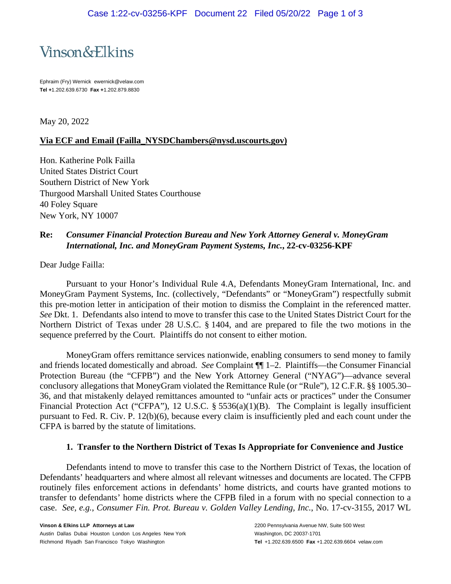

Ephraim (Fry) Wernick ewernick@velaw.com **Tel +**1.202.639.6730 **Fax +**1.202.879.8830

May 20, 2022

## **Via ECF and Email (Failla\_NYSDChambers@nysd.uscourts.gov)**

Hon. Katherine Polk Failla United States District Court Southern District of New York Thurgood Marshall United States Courthouse 40 Foley Square New York, NY 10007

# **Re:** *Consumer Financial Protection Bureau and New York Attorney General v. MoneyGram International, Inc. and MoneyGram Payment Systems, Inc.***, 22-cv-03256-KPF**

Dear Judge Failla:

Pursuant to your Honor's Individual Rule 4.A, Defendants MoneyGram International, Inc. and MoneyGram Payment Systems, Inc. (collectively, "Defendants" or "MoneyGram") respectfully submit this pre-motion letter in anticipation of their motion to dismiss the Complaint in the referenced matter. *See* Dkt. 1. Defendants also intend to move to transfer this case to the United States District Court for the Northern District of Texas under 28 U.S.C. § 1404, and are prepared to file the two motions in the sequence preferred by the Court. Plaintiffs do not consent to either motion.

MoneyGram offers remittance services nationwide, enabling consumers to send money to family and friends located domestically and abroad. *See* Complaint ¶¶ 1–2. Plaintiffs—the Consumer Financial Protection Bureau (the "CFPB") and the New York Attorney General ("NYAG")—advance several conclusory allegations that MoneyGram violated the Remittance Rule (or "Rule"), 12 C.F.R. §§ 1005.30– 36, and that mistakenly delayed remittances amounted to "unfair acts or practices" under the Consumer Financial Protection Act ("CFPA"), 12 U.S.C. § 5536(a)(1)(B). The Complaint is legally insufficient pursuant to Fed. R. Civ. P. 12(b)(6), because every claim is insufficiently pled and each count under the CFPA is barred by the statute of limitations.

### **1. Transfer to the Northern District of Texas Is Appropriate for Convenience and Justice**

Defendants intend to move to transfer this case to the Northern District of Texas, the location of Defendants' headquarters and where almost all relevant witnesses and documents are located. The CFPB routinely files enforcement actions in defendants' home districts, and courts have granted motions to transfer to defendants' home districts where the CFPB filed in a forum with no special connection to a case. *See, e.g.*, *Consumer Fin. Prot. Bureau v. Golden Valley Lending, Inc.*, No. 17-cv-3155, 2017 WL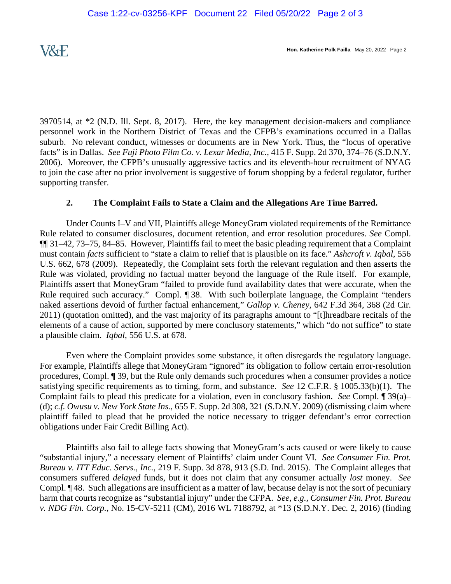3970514, at \*2 (N.D. Ill. Sept. 8, 2017). Here, the key management decision-makers and compliance personnel work in the Northern District of Texas and the CFPB's examinations occurred in a Dallas suburb. No relevant conduct, witnesses or documents are in New York. Thus, the "locus of operative facts" is in Dallas. *See Fuji Photo Film Co. v. Lexar Media, Inc.*, 415 F. Supp. 2d 370, 374–76 (S.D.N.Y. 2006). Moreover, the CFPB's unusually aggressive tactics and its eleventh-hour recruitment of NYAG to join the case after no prior involvement is suggestive of forum shopping by a federal regulator, further supporting transfer.

## **2. The Complaint Fails to State a Claim and the Allegations Are Time Barred.**

Under Counts I–V and VII, Plaintiffs allege MoneyGram violated requirements of the Remittance Rule related to consumer disclosures, document retention, and error resolution procedures. *See* Compl. ¶¶ 31–42, 73–75, 84–85. However, Plaintiffs fail to meet the basic pleading requirement that a Complaint must contain *facts* sufficient to "state a claim to relief that is plausible on its face." *Ashcroft v. Iqbal*, 556 U.S. 662, 678 (2009). Repeatedly, the Complaint sets forth the relevant regulation and then asserts the Rule was violated, providing no factual matter beyond the language of the Rule itself. For example, Plaintiffs assert that MoneyGram "failed to provide fund availability dates that were accurate, when the Rule required such accuracy." Compl. ¶ 38. With such boilerplate language, the Complaint "tenders" naked assertions devoid of further factual enhancement," *Gallop v. Cheney*, 642 F.3d 364, 368 (2d Cir. 2011) (quotation omitted), and the vast majority of its paragraphs amount to "[t]hreadbare recitals of the elements of a cause of action, supported by mere conclusory statements," which "do not suffice" to state a plausible claim. *Iqbal*, 556 U.S. at 678.

Even where the Complaint provides some substance, it often disregards the regulatory language. For example, Plaintiffs allege that MoneyGram "ignored" its obligation to follow certain error-resolution procedures, Compl. ¶ 39, but the Rule only demands such procedures when a consumer provides a notice satisfying specific requirements as to timing, form, and substance. *See* 12 C.F.R. § 1005.33(b)(1). The Complaint fails to plead this predicate for a violation, even in conclusory fashion. *See* Compl. ¶ 39(a)– (d); *c.f. Owusu v. New York State Ins.*, 655 F. Supp. 2d 308, 321 (S.D.N.Y. 2009) (dismissing claim where plaintiff failed to plead that he provided the notice necessary to trigger defendant's error correction obligations under Fair Credit Billing Act).

Plaintiffs also fail to allege facts showing that MoneyGram's acts caused or were likely to cause "substantial injury," a necessary element of Plaintiffs' claim under Count VI. *See Consumer Fin. Prot. Bureau v. ITT Educ. Servs., Inc.*, 219 F. Supp. 3d 878, 913 (S.D. Ind. 2015). The Complaint alleges that consumers suffered *delayed* funds, but it does not claim that any consumer actually *lost* money. *See* Compl. ¶ 48. Such allegations are insufficient as a matter of law, because delay is not the sort of pecuniary harm that courts recognize as "substantial injury" under the CFPA. *See, e.g., Consumer Fin. Prot. Bureau v. NDG Fin. Corp.*, No. 15-CV-5211 (CM), 2016 WL 7188792, at \*13 (S.D.N.Y. Dec. 2, 2016) (finding